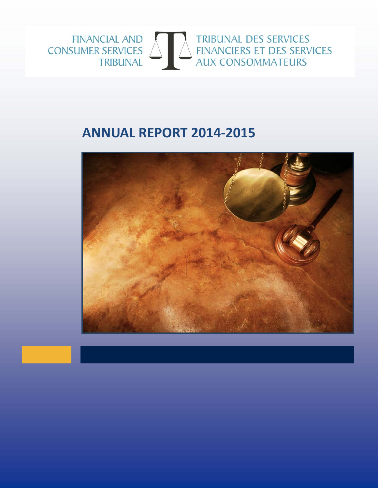

# **ANNUAL REPORT 2014‐2015**

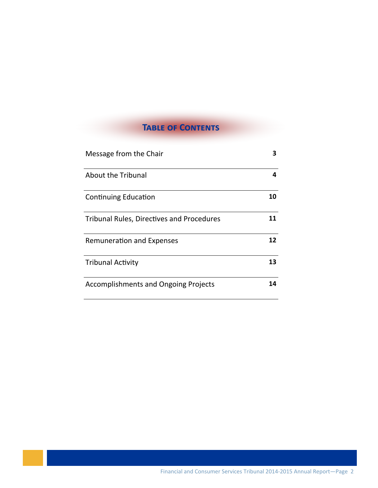# **TABLE OF CONTENTS**

| Message from the Chair                           | 3  |
|--------------------------------------------------|----|
| About the Tribunal                               | 4  |
| <b>Continuing Education</b>                      | 10 |
| <b>Tribunal Rules, Directives and Procedures</b> | 11 |
| <b>Remuneration and Expenses</b>                 | 12 |
| <b>Tribunal Activity</b>                         | 13 |
| <b>Accomplishments and Ongoing Projects</b>      |    |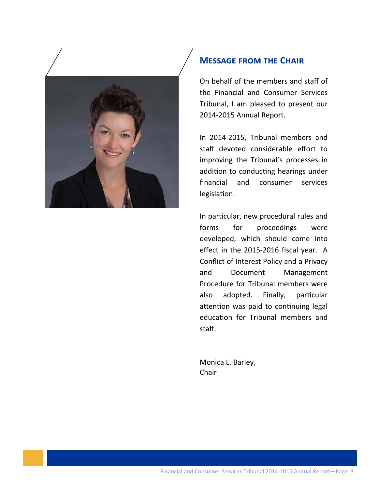

#### **MESSAGE FROM THE CHAIR**

On behalf of the members and staff of the Financial and Consumer Services Tribunal, I am pleased to present our 2014‐2015 Annual Report.

In 2014‐2015, Tribunal members and staff devoted considerable effort to improving the Tribunal's processes in addition to conducting hearings under financial and consumer services legislation.

In particular, new procedural rules and forms for proceedings were developed, which should come into effect in the 2015‐2016 fiscal year. A Conflict of Interest Policy and a Privacy and Document Management Procedure for Tribunal members were also adopted. Finally, particular attention was paid to continuing legal education for Tribunal members and staff.

Monica L. Barley, Chair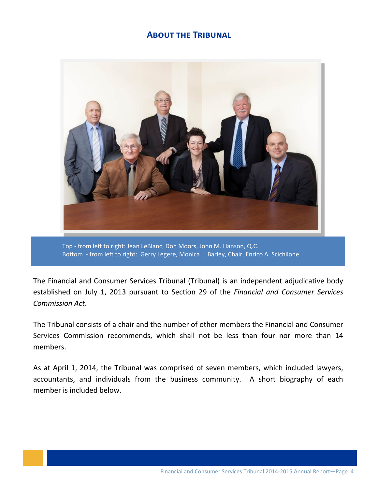#### **ABOUT THE TRIBUNAL**



Top - from left to right: Jean LeBlanc, Don Moors, John M. Hanson, Q.C. Bottom - from left to right: Gerry Legere, Monica L. Barley, Chair, Enrico A. Scichilone

The Financial and Consumer Services Tribunal (Tribunal) is an independent adjudicative body established on July 1, 2013 pursuant to SecƟon 29 of the *Financial and Consumer Services Commission Act*.

The Tribunal consists of a chair and the number of other members the Financial and Consumer Services Commission recommends, which shall not be less than four nor more than 14 members.

As at April 1, 2014, the Tribunal was comprised of seven members, which included lawyers, accountants, and individuals from the business community. A short biography of each member is included below.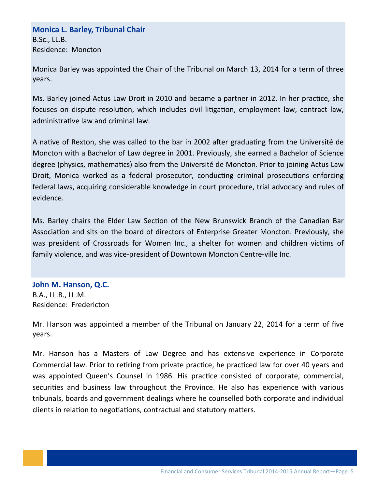### **Monica L. Barley, Tribunal Chair** B.Sc., LL.B. Residence: Moncton

Monica Barley was appointed the Chair of the Tribunal on March 13, 2014 for a term of three years.

Ms. Barley joined Actus Law Droit in 2010 and became a partner in 2012. In her practice, she focuses on dispute resolution, which includes civil litigation, employment law, contract law, administrative law and criminal law.

A native of Rexton, she was called to the bar in 2002 after graduating from the Université de Moncton with a Bachelor of Law degree in 2001. Previously, she earned a Bachelor of Science degree (physics, mathematics) also from the Université de Moncton. Prior to joining Actus Law Droit, Monica worked as a federal prosecutor, conducting criminal prosecutions enforcing federal laws, acquiring considerable knowledge in court procedure, trial advocacy and rules of evidence.

Ms. Barley chairs the Elder Law Section of the New Brunswick Branch of the Canadian Bar Association and sits on the board of directors of Enterprise Greater Moncton. Previously, she was president of Crossroads for Women Inc., a shelter for women and children victims of family violence, and was vice‐president of Downtown Moncton Centre‐ville Inc.

#### **John M. Hanson, Q.C.**

B.A., LL.B., LL.M. Residence: Fredericton

Mr. Hanson was appointed a member of the Tribunal on January 22, 2014 for a term of five years.

Mr. Hanson has a Masters of Law Degree and has extensive experience in Corporate Commercial law. Prior to retiring from private practice, he practiced law for over 40 years and was appointed Queen's Counsel in 1986. His practice consisted of corporate, commercial, securities and business law throughout the Province. He also has experience with various tribunals, boards and government dealings where he counselled both corporate and individual clients in relation to negotiations, contractual and statutory matters.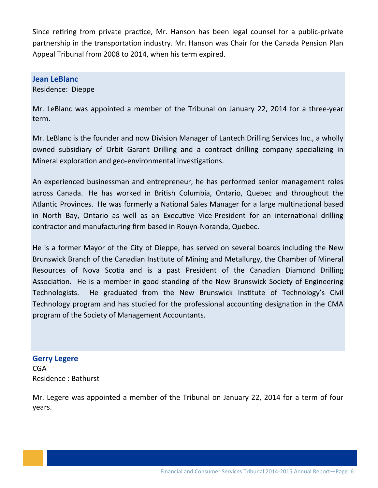Since retiring from private practice, Mr. Hanson has been legal counsel for a public-private partnership in the transportation industry. Mr. Hanson was Chair for the Canada Pension Plan Appeal Tribunal from 2008 to 2014, when his term expired.

#### **Jean LeBlanc**

Residence: Dieppe

Mr. LeBlanc was appointed a member of the Tribunal on January 22, 2014 for a three‐year term.

Mr. LeBlanc is the founder and now Division Manager of Lantech Drilling Services Inc., a wholly owned subsidiary of Orbit Garant Drilling and a contract drilling company specializing in Mineral exploration and geo-environmental investigations.

An experienced businessman and entrepreneur, he has performed senior management roles across Canada. He has worked in British Columbia, Ontario, Quebec and throughout the Atlantic Provinces. He was formerly a National Sales Manager for a large multinational based in North Bay, Ontario as well as an Executive Vice-President for an international drilling contractor and manufacturing firm based in Rouyn‐Noranda, Quebec.

He is a former Mayor of the City of Dieppe, has served on several boards including the New Brunswick Branch of the Canadian Institute of Mining and Metallurgy, the Chamber of Mineral Resources of Nova Scotia and is a past President of the Canadian Diamond Drilling Association. He is a member in good standing of the New Brunswick Society of Engineering Technologists. He graduated from the New Brunswick Institute of Technology's Civil Technology program and has studied for the professional accounting designation in the CMA program of the Society of Management Accountants.

**Gerry Legere** CGA Residence : Bathurst

Mr. Legere was appointed a member of the Tribunal on January 22, 2014 for a term of four years.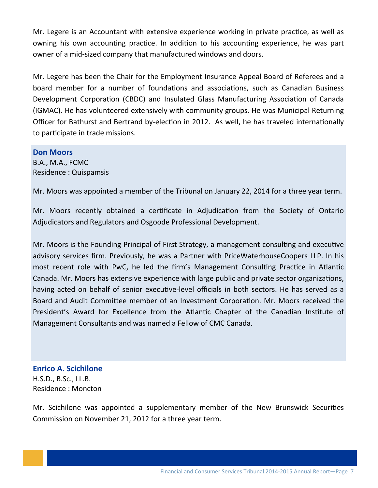Mr. Legere is an Accountant with extensive experience working in private practice, as well as owning his own accounting practice. In addition to his accounting experience, he was part owner of a mid‐sized company that manufactured windows and doors.

Mr. Legere has been the Chair for the Employment Insurance Appeal Board of Referees and a board member for a number of foundations and associations, such as Canadian Business Development Corporation (CBDC) and Insulated Glass Manufacturing Association of Canada (IGMAC). He has volunteered extensively with community groups. He was Municipal Returning Officer for Bathurst and Bertrand by-election in 2012. As well, he has traveled internationally to participate in trade missions.

**Don Moors**

B.A., M.A., FCMC Residence : Quispamsis

Mr. Moors was appointed a member of the Tribunal on January 22, 2014 for a three year term.

Mr. Moors recently obtained a certificate in Adjudication from the Society of Ontario Adjudicators and Regulators and Osgoode Professional Development.

Mr. Moors is the Founding Principal of First Strategy, a management consulting and executive advisory services firm. Previously, he was a Partner with PriceWaterhouseCoopers LLP. In his most recent role with PwC, he led the firm's Management Consulting Practice in Atlantic Canada. Mr. Moors has extensive experience with large public and private sector organizations, having acted on behalf of senior executive-level officials in both sectors. He has served as a Board and Audit Committee member of an Investment Corporation. Mr. Moors received the President's Award for Excellence from the Atlantic Chapter of the Canadian Institute of Management Consultants and was named a Fellow of CMC Canada.

#### **Enrico A. Scichilone** H.S.D., B.Sc., LL.B. Residence : Moncton

Mr. Scichilone was appointed a supplementary member of the New Brunswick Securities Commission on November 21, 2012 for a three year term.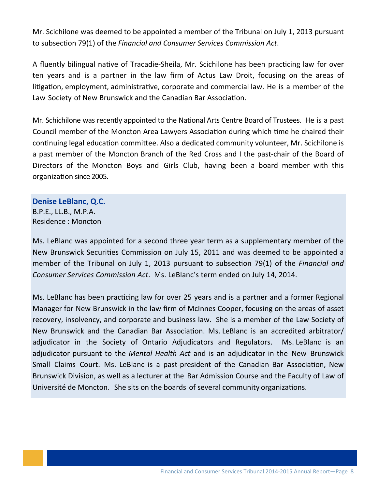Mr. Scichilone was deemed to be appointed a member of the Tribunal on July 1, 2013 pursuant to subsecƟon 79(1) of the *Financial and Consumer Services Commission Act*.

A fluently bilingual native of Tracadie-Sheila, Mr. Scichilone has been practicing law for over ten years and is a partner in the law firm of Actus Law Droit, focusing on the areas of litigation, employment, administrative, corporate and commercial law. He is a member of the Law Society of New Brunswick and the Canadian Bar Association.

Mr. Schichilone was recently appointed to the National Arts Centre Board of Trustees. He is a past Council member of the Moncton Area Lawyers Association during which time he chaired their continuing legal education committee. Also a dedicated community volunteer, Mr. Scichilone is a past member of the Moncton Branch of the Red Cross and I the past‐chair of the Board of Directors of the Moncton Boys and Girls Club, having been a board member with this organization since 2005.

#### **Denise LeBlanc, Q.C.**

B.P.E., LL.B., M.P.A. Residence : Moncton

Ms. LeBlanc was appointed for a second three year term as a supplementary member of the New Brunswick Securities Commission on July 15, 2011 and was deemed to be appointed a member of the Tribunal on July 1, 2013 pursuant to subsection 79(1) of the *Financial and Consumer Services Commission Act*. Ms. LeBlanc's term ended on July 14, 2014.

Ms. LeBlanc has been practicing law for over 25 years and is a partner and a former Regional Manager for New Brunswick in the law firm of McInnes Cooper, focusing on the areas of asset recovery, insolvency, and corporate and business law. She is a member of the Law Society of New Brunswick and the Canadian Bar Association. Ms. LeBlanc is an accredited arbitrator/ adjudicator in the Society of Ontario Adjudicators and Regulators. Ms. LeBlanc is an adjudicator pursuant to the *Mental Health Act* and is an adjudicator in the New Brunswick Small Claims Court. Ms. LeBlanc is a past-president of the Canadian Bar Association, New Brunswick Division, as well as a lecturer at the Bar Admission Course and the Faculty of Law of Université de Moncton. She sits on the boards of several community organizations.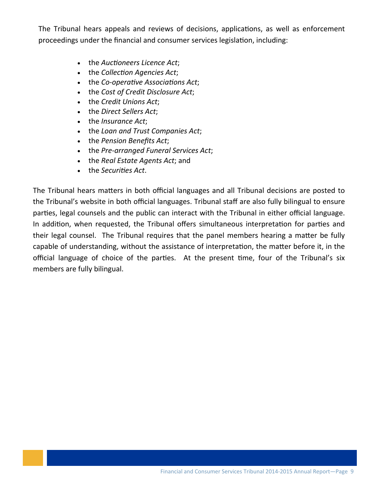The Tribunal hears appeals and reviews of decisions, applications, as well as enforcement proceedings under the financial and consumer services legislation, including:

- the *Auctioneers* Licence *Act*;
- the *Collection Agencies Act*;
- the *Co‐operaƟve AssociaƟons Act*;
- the *Cost of Credit Disclosure Act*;
- the *Credit Unions Act*;
- the *Direct Sellers Act*;
- the *Insurance Act*;
- the *Loan and Trust Companies Act*;
- the *Pension Benefits Act*;
- the *Pre‐arranged Funeral Services Act*;
- the *Real Estate Agents Act*; and
- the *Securities Act*.

The Tribunal hears matters in both official languages and all Tribunal decisions are posted to the Tribunal's website in both official languages. Tribunal staff are also fully bilingual to ensure parties, legal counsels and the public can interact with the Tribunal in either official language. In addition, when requested, the Tribunal offers simultaneous interpretation for parties and their legal counsel. The Tribunal requires that the panel members hearing a matter be fully capable of understanding, without the assistance of interpretation, the matter before it, in the official language of choice of the parties. At the present time, four of the Tribunal's six members are fully bilingual.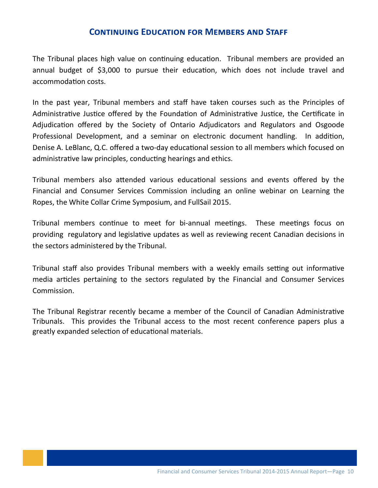#### **CONTINUING EDUCATION FOR MEMBERS AND STAFF**

The Tribunal places high value on continuing education. Tribunal members are provided an annual budget of \$3,000 to pursue their education, which does not include travel and accommodation costs.

In the past year, Tribunal members and staff have taken courses such as the Principles of Administrative Justice offered by the Foundation of Administrative Justice, the Certificate in Adjudication offered by the Society of Ontario Adjudicators and Regulators and Osgoode Professional Development, and a seminar on electronic document handling. In addition, Denise A. LeBlanc, Q.C. offered a two-day educational session to all members which focused on administrative law principles, conducting hearings and ethics.

Tribunal members also attended various educational sessions and events offered by the Financial and Consumer Services Commission including an online webinar on Learning the Ropes, the White Collar Crime Symposium, and FullSail 2015.

Tribunal members continue to meet for bi-annual meetings. These meetings focus on providing regulatory and legislative updates as well as reviewing recent Canadian decisions in the sectors administered by the Tribunal.

Tribunal staff also provides Tribunal members with a weekly emails setting out informative media articles pertaining to the sectors regulated by the Financial and Consumer Services Commission.

The Tribunal Registrar recently became a member of the Council of Canadian Administrative Tribunals. This provides the Tribunal access to the most recent conference papers plus a greatly expanded selection of educational materials.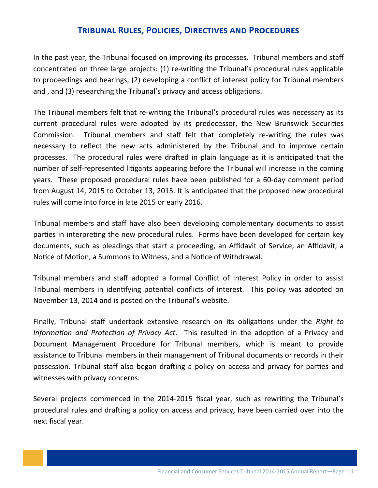#### **TRIBUNAL RULES, POLICIES, DIRECTIVES AND PROCEDURES**

In the past year, the Tribunal focused on improving its processes. Tribunal members and staff concentrated on three large projects: (1) re-writing the Tribunal's procedural rules applicable to proceedings and hearings, (2) developing a conflict of interest policy for Tribunal members and, and (3) researching the Tribunal's privacy and access obligations.

The Tribunal members felt that re-writing the Tribunal's procedural rules was necessary as its current procedural rules were adopted by its predecessor, the New Brunswick Securities Commission. Tribunal members and staff felt that completely re-writing the rules was necessary to reflect the new acts administered by the Tribunal and to improve certain processes. The procedural rules were drafted in plain language as it is anticipated that the number of self-represented litigants appearing before the Tribunal will increase in the coming years. These proposed procedural rules have been published for a 60‐day comment period from August 14, 2015 to October 13, 2015. It is anticipated that the proposed new procedural rules will come into force in late 2015 or early 2016.

Tribunal members and staff have also been developing complementary documents to assist parties in interpreting the new procedural rules. Forms have been developed for certain key documents, such as pleadings that start a proceeding, an Affidavit of Service, an Affidavit, a Notice of Motion, a Summons to Witness, and a Notice of Withdrawal.

Tribunal members and staff adopted a formal Conflict of Interest Policy in order to assist Tribunal members in identifying potential conflicts of interest. This policy was adopted on November 13, 2014 and is posted on the Tribunal's website.

Finally, Tribunal staff undertook extensive research on its obligations under the *Right to Information and Protection of Privacy Act.* This resulted in the adoption of a Privacy and Document Management Procedure for Tribunal members, which is meant to provide assistance to Tribunal members in their management of Tribunal documents or records in their possession. Tribunal staff also began drafting a policy on access and privacy for parties and witnesses with privacy concerns.

Several projects commenced in the 2014-2015 fiscal year, such as rewriting the Tribunal's procedural rules and drafting a policy on access and privacy, have been carried over into the next fiscal year.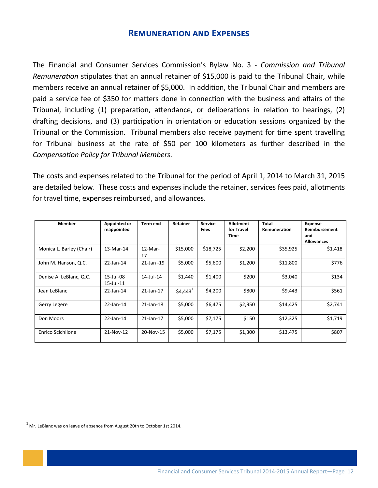#### **REMUNERATION AND EXPENSES**

The Financial and Consumer Services Commission's Bylaw No. 3 - Commission and Tribunal Remuneration stipulates that an annual retainer of \$15,000 is paid to the Tribunal Chair, while members receive an annual retainer of \$5,000. In addition, the Tribunal Chair and members are paid a service fee of \$350 for matters done in connection with the business and affairs of the Tribunal, including (1) preparation, attendance, or deliberations in relation to hearings, (2) drafting decisions, and (3) participation in orientation or education sessions organized by the Tribunal or the Commission. Tribunal members also receive payment for time spent travelling for Tribunal business at the rate of \$50 per 100 kilometers as further described in the **Compensation Policy for Tribunal Members.** 

The costs and expenses related to the Tribunal for the period of April 1, 2014 to March 31, 2015 are detailed below. These costs and expenses include the retainer, services fees paid, allotments for travel time, expenses reimbursed, and allowances.

| Member                   | Appointed or<br>reappointed | <b>Term end</b>  | Retainer              | <b>Service</b><br><b>Fees</b> | <b>Allotment</b><br>for Travel<br><b>Time</b> | Total<br>Remuneration | <b>Expense</b><br>Reimbursement<br>and<br><b>Allowances</b> |
|--------------------------|-----------------------------|------------------|-----------------------|-------------------------------|-----------------------------------------------|-----------------------|-------------------------------------------------------------|
| Monica L. Barley (Chair) | 13-Mar-14                   | $12$ -Mar-<br>17 | \$15,000              | \$18,725                      | \$2,200                                       | \$35,925              | \$1,418                                                     |
| John M. Hanson, Q.C.     | $22$ -Jan-14                | 21-Jan -19       | \$5,000               | \$5,600                       | \$1,200                                       | \$11,800              | \$776                                                       |
| Denise A. LeBlanc, Q.C.  | 15-Jul-08<br>15-Jul-11      | $14$ -Jul-14     | \$1,440               | \$1,400                       | \$200                                         | \$3,040               | \$134                                                       |
| Jean LeBlanc             | 22-Jan-14                   | $21$ -Jan-17     | $$4,443$ <sup>1</sup> | \$4,200                       | \$800                                         | \$9,443               | \$561                                                       |
| Gerry Legere             | 22-Jan-14                   | $21$ -Jan-18     | \$5,000               | \$6,475                       | \$2,950                                       | \$14,425              | \$2,741                                                     |
| Don Moors                | 22-Jan-14                   | 21-Jan-17        | \$5,000               | \$7,175                       | \$150                                         | \$12,325              | \$1,719                                                     |
| <b>Enrico Scichilone</b> | 21-Nov-12                   | 20-Nov-15        | \$5,000               | \$7,175                       | \$1,300                                       | \$13,475              | \$807                                                       |

 $1$  Mr. LeBlanc was on leave of absence from August 20th to October 1st 2014.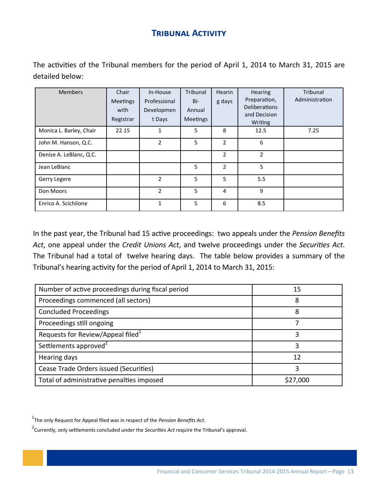# **TRIBUNAL ACTIVITY**

The activities of the Tribunal members for the period of April 1, 2014 to March 31, 2015 are detailed below:

| <b>Members</b>          | Chair<br>Meetings<br>with<br>Registrar | In-House<br>Professional<br>Developmen<br>t Days | Tribunal<br>Bi-<br>Annual<br><b>Meetings</b> | Hearin<br>g days | <b>Hearing</b><br>Preparation,<br><b>Deliberations</b><br>and Decision<br>Writing | Tribunal<br>Administration |
|-------------------------|----------------------------------------|--------------------------------------------------|----------------------------------------------|------------------|-----------------------------------------------------------------------------------|----------------------------|
| Monica L. Barley, Chair | 22.15                                  | 1                                                | 5                                            | 8                | 12.5                                                                              | 7.25                       |
| John M. Hanson, Q.C.    |                                        | $\overline{2}$                                   | 5                                            | $\overline{2}$   | 6                                                                                 |                            |
| Denise A. LeBlanc, Q.C. |                                        |                                                  |                                              | 2                | $\overline{2}$                                                                    |                            |
| Jean LeBlanc            |                                        |                                                  | 5                                            | $\overline{2}$   | 5                                                                                 |                            |
| Gerry Legere            |                                        | $\overline{2}$                                   | 5                                            | 5                | 5.5                                                                               |                            |
| Don Moors               |                                        | $\overline{2}$                                   | 5                                            | 4                | 9                                                                                 |                            |
| Enrico A. Scichilone    |                                        | 1                                                | 5                                            | 6                | 8.5                                                                               |                            |

In the past year, the Tribunal had 15 active proceedings: two appeals under the Pension Benefits Act, one appeal under the Credit Unions Act, and twelve proceedings under the Securities Act. The Tribunal had a total of twelve hearing days. The table below provides a summary of the Tribunal's hearing activity for the period of April 1, 2014 to March 31, 2015:

| Number of active proceedings during fiscal period | 15       |
|---------------------------------------------------|----------|
| Proceedings commenced (all sectors)               | 8        |
| <b>Concluded Proceedings</b>                      | 8        |
| Proceedings still ongoing                         |          |
| Requests for Review/Appeal filed <sup>1</sup>     |          |
| Settlements approved <sup>2</sup>                 |          |
| Hearing days                                      | 12       |
| Cease Trade Orders issued (Securities)            |          |
| Total of administrative penalties imposed         | \$27,000 |

<sup>1</sup>The only Request for Appeal filed was in respect of the *Pension Benefits Act*.

<sup>&</sup>lt;sup>2</sup> Currently, only settlements concluded under the Securities Act require the Tribunal's approval.